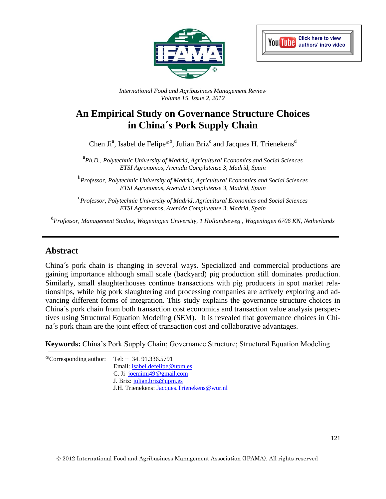



*International Food and Agribusiness Management Review Volume 15, Issue 2, 2012*

# **An Empirical Study on Governance Structure Choices in China´s Pork Supply Chain**

Chen Ji<sup>a</sup>, Isabel de Felipe<sup>®b</sup>, Julian Briz<sup>c</sup> and Jacques H. Trienekens<sup>d</sup>

a *Ph.D., Polytechnic University of Madrid, Agricultural Economics and Social Sciences ETSI Agronomos, Avenida Complutense 3, Madrid, Spain*

b *Professor, Polytechnic University of Madrid, Agricultural Economics and Social Sciences ETSI Agronomos, Avenida Complutense 3, Madrid, Spain*

c *Professor, Polytechnic University of Madrid, Agricultural Economics and Social Sciences ETSI Agronomos, Avenida Complutense 3, Madrid, Spain*

d *Professor, Management Studies, Wageningen University, 1 Hollandseweg , Wageningen 6706 KN, Netherlands*

## **Abstract**

China´s pork chain is changing in several ways. Specialized and commercial productions are gaining importance although small scale (backyard) pig production still dominates production. Similarly, small slaughterhouses continue transactions with pig producers in spot market relationships, while big pork slaughtering and processing companies are actively exploring and advancing different forms of integration. This study explains the governance structure choices in China´s pork chain from both transaction cost economics and transaction value analysis perspectives using Structural Equation Modeling (SEM). It is revealed that governance choices in China´s pork chain are the joint effect of transaction cost and collaborative advantages.

**Keywords:** China's Pork Supply Chain; Governance Structure; Structural Equation Modeling

 $^{\circ}$ Corresponding author: Tel: + 34. 91.336.5791 Email: [isabel.defelipe@upm.es](mailto:isabel.defelipe@upm.es) C. Ji [joemimi49@gmail.com](mailto:joemimi49@gmail.com) J. Briz: [julian.briz@upm.es](mailto:julian.briz@upm.es) J.H. Trienekens: [Jacques.Trienekens@wur.nl](mailto:Jacques.Trienekens@wur.nl)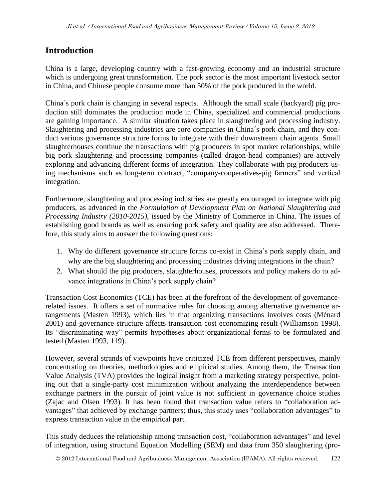## **Introduction**

China is a large, developing country with a fast-growing economy and an industrial structure which is undergoing great transformation. The pork sector is the most important livestock sector in China, and Chinese people consume more than 50% of the pork produced in the world.

China´s pork chain is changing in several aspects. Although the small scale (backyard) pig production still dominates the production mode in China, specialized and commercial productions are gaining importance. A similar situation takes place in slaughtering and processing industry. Slaughtering and processing industries are core companies in China´s pork chain, and they conduct various governance structure forms to integrate with their downstream chain agents. Small slaughterhouses continue the transactions with pig producers in spot market relationships, while big pork slaughtering and processing companies (called dragon-head companies) are actively exploring and advancing different forms of integration. They collaborate with pig producers using mechanisms such as long-term contract, "company-cooperatives-pig farmers" and vertical integration.

Furthermore, slaughtering and processing industries are greatly encouraged to integrate with pig producers, as advanced in the *Formulation of Development Plan on National Slaughtering and Processing Industry (2010-2015)*, issued by the Ministry of Commerce in China. The issues of establishing good brands as well as ensuring pork safety and quality are also addressed. Therefore, this study aims to answer the following questions:

- 1. Why do different governance structure forms co-exist in China's pork supply chain, and why are the big slaughtering and processing industries driving integrations in the chain?
- 2. What should the pig producers, slaughterhouses, processors and policy makers do to advance integrations in China's pork supply chain?

Transaction Cost Economics (TCE) has been at the forefront of the development of governancerelated issues. It offers a set of normative rules for choosing among alternative governance arrangements (Masten 1993), which lies in that organizing transactions involves costs (Ménard 2001) and governance structure affects transaction cost economizing result (Williamson 1998). Its "discriminating way" permits hypotheses about organizational forms to be formulated and tested (Masten 1993, 119).

However, several strands of viewpoints have criticized TCE from different perspectives, mainly concentrating on theories, methodologies and empirical studies. Among them, the Transaction Value Analysis (TVA) provides the logical insight from a marketing strategy perspective, pointing out that a single-party cost minimization without analyzing the interdependence between exchange partners in the pursuit of joint value is not sufficient in governance choice studies (Zajac and Olsen 1993). It has been found that transaction value refers to "collaboration advantages" that achieved by exchange partners; thus, this study uses "collaboration advantages" to express transaction value in the empirical part.

This study deduces the relationship among transaction cost, "collaboration advantages" and level of integration, using structural Equation Modelling (SEM) and data from 350 slaughtering (pro-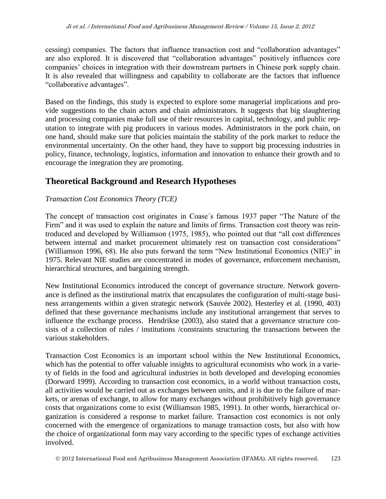cessing) companies. The factors that influence transaction cost and "collaboration advantages" are also explored. It is discovered that "collaboration advantages" positively influences core companies' choices in integration with their downstream partners in Chinese pork supply chain. It is also revealed that willingness and capability to collaborate are the factors that influence "collaborative advantages".

Based on the findings, this study is expected to explore some managerial implications and provide suggestions to the chain actors and chain administrators. It suggests that big slaughtering and processing companies make full use of their resources in capital, technology, and public reputation to integrate with pig producers in various modes. Administrators in the pork chain, on one hand, should make sure that policies maintain the stability of the pork market to reduce the environmental uncertainty. On the other hand, they have to support big processing industries in policy, finance, technology, logistics, information and innovation to enhance their growth and to encourage the integration they are promoting.

## **Theoretical Background and Research Hypotheses**

### *Transaction Cost Economics Theory (TCE)*

The concept of transaction cost originates in Coase´s famous 1937 paper "The Nature of the Firm" and it was used to explain the nature and limits of firms. Transaction cost theory was reintroduced and developed by Williamson (1975, 1985), who pointed out that "all cost differences between internal and market procurement ultimately rest on transaction cost considerations" (Williamson 1996, 68). He also puts forward the term "New Institutional Economics (NIE)" in 1975. Relevant NIE studies are concentrated in modes of governance, enforcement mechanism, hierarchical structures, and [bargaining](http://en.wikipedia.org/wiki/Bargaining) strength.

New Institutional Economics introduced the concept of governance structure. Network governance is defined as the institutional matrix that encapsulates the configuration of multi-stage business arrangements within a given strategic network (Sauvée 2002). Hesterley et al. (1990, 403) defined that these governance mechanisms include any institutional arrangement that serves to influence the exchange process. Hendrikse (2003), also stated that a governance structure consists of a collection of rules / institutions /constraints structuring the transactions between the various stakeholders.

Transaction Cost Economics is an important school within the New Institutional Economics, which has the potential to offer valuable insights to agricultural economists who work in a variety of fields in the food and agricultural industries in both developed and developing economies (Dorward 1999). According to transaction cost economics, in a world without transaction costs, all activities would be carried out as exchanges between units, and it is due to the failure of markets, or arenas of exchange, to allow for many exchanges without prohibitively high governance costs that organizations come to exist (Williamson 1985, 1991). In other words, hierarchical organization is considered a response to market failure. Transaction cost economics is not only concerned with the emergence of organizations to manage transaction costs, but also with how the choice of organizational form may vary according to the specific types of exchange activities involved.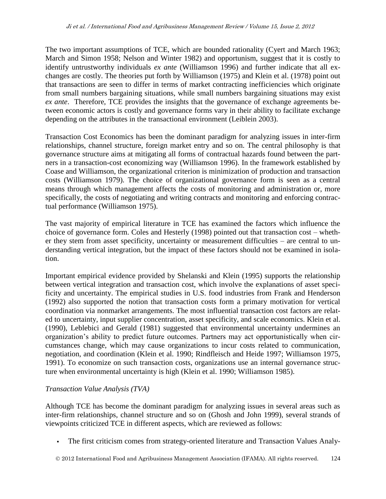The two important assumptions of TCE, which are bounded rationality (Cyert and March 1963; March and Simon 1958; Nelson and Winter 1982) and opportunism, suggest that it is costly to identify untrustworthy individuals *ex ante* (Williamson 1996) and further indicate that all exchanges are costly. The theories put forth by Williamson (1975) and Klein et al. (1978) point out that transactions are seen to differ in terms of market contracting inefficiencies which originate from small numbers bargaining situations, while small numbers bargaining situations may exist *ex ante*. Therefore, TCE provides the insights that the governance of exchange agreements between economic actors is costly and governance forms vary in their ability to facilitate exchange depending on the attributes in the transactional environment (Leiblein 2003).

Transaction Cost Economics has been the dominant paradigm for analyzing issues in inter-firm relationships, channel structure, foreign market entry and so on. The central philosophy is that governance structure aims at mitigating all forms of contractual hazards found between the partners in a transaction-cost economizing way (Williamson 1996). In the framework established by Coase and Williamson, the organizational criterion is minimization of production and transaction costs (Williamson 1979). The choice of organizational governance form is seen as a central means through which management affects the costs of monitoring and administration or, more specifically, the costs of negotiating and writing contracts and monitoring and enforcing contractual performance (Williamson 1975).

The vast majority of empirical literature in TCE has examined the factors which influence the choice of governance form. Coles and Hesterly (1998) pointed out that transaction cost – whether they stem from asset specificity, uncertainty or measurement difficulties – are central to understanding vertical integration, but the impact of these factors should not be examined in isolation.

Important empirical evidence provided by Shelanski and Klein (1995) supports the relationship between vertical integration and transaction cost, which involve the explanations of asset specificity and uncertainty. The empirical studies in U.S. food industries from Frank and Henderson (1992) also supported the notion that transaction costs form a primary motivation for vertical coordination via nonmarket arrangements. The most influential transaction cost factors are related to uncertainty, input supplier concentration, asset specificity, and scale economics. Klein et al. (1990), Leblebici and Gerald (1981) suggested that environmental uncertainty undermines an organization's ability to predict future outcomes. Partners may act opportunistically when circumstances change, which may cause organizations to incur costs related to communication, negotiation, and coordination (Klein et al. 1990; Rindfleisch and Heide 1997; Williamson 1975, 1991). To economize on such transaction costs, organizations use an internal governance structure when environmental uncertainty is high (Klein et al. 1990; Williamson 1985).

## *Transaction Value Analysis (TVA)*

Although TCE has become the dominant paradigm for analyzing issues in several areas such as inter-firm relationships, channel structure and so on (Ghosh and John 1999), several strands of viewpoints criticized TCE in different aspects, which are reviewed as follows:

The first criticism comes from strategy-oriented literature and Transaction Values Analy-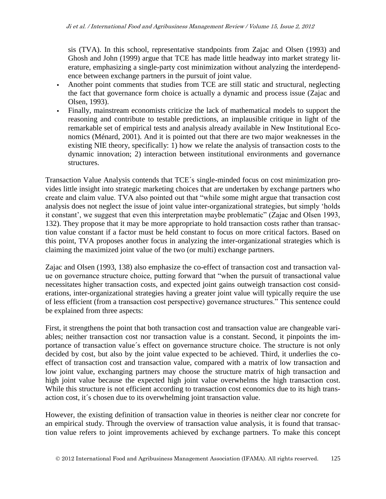sis (TVA). In this school, representative standpoints from Zajac and Olsen (1993) and Ghosh and John (1999) argue that TCE has made little headway into market strategy literature, emphasizing a single-party cost minimization without analyzing the interdependence between exchange partners in the pursuit of joint value.

- Another point comments that studies from TCE are still static and structural, neglecting the fact that governance form choice is actually a dynamic and process issue (Zajac and Olsen, 1993).
- Finally, mainstream economists criticize the lack of mathematical models to support the reasoning and contribute to testable predictions, an implausible critique in light of the remarkable set of empirical tests and analysis already available in New Institutional Economics (Ménard, 2001). And it is pointed out that there are two major weaknesses in the existing NIE theory, specifically: 1) how we relate the analysis of transaction costs to the dynamic innovation; 2) interaction between institutional environments and governance structures.

Transaction Value Analysis contends that TCE´s single-minded focus on cost minimization provides little insight into strategic marketing choices that are undertaken by exchange partners who create and claim value. TVA also pointed out that "while some might argue that transaction cost analysis does not neglect the issue of joint value inter-organizational strategies, but simply 'holds it constant', we suggest that even this interpretation maybe problematic" (Zajac and Olsen 1993, 132). They propose that it may be more appropriate to hold transaction costs rather than transaction value constant if a factor must be held constant to focus on more critical factors. Based on this point, TVA proposes another focus in analyzing the inter-organizational strategies which is claiming the maximized joint value of the two (or multi) exchange partners.

Zajac and Olsen (1993, 138) also emphasize the co-effect of transaction cost and transaction value on governance structure choice, putting forward that "when the pursuit of transactional value necessitates higher transaction costs, and expected joint gains outweigh transaction cost considerations, inter-organizational strategies having a greater joint value will typically require the use of less efficient (from a transaction cost perspective) governance structures." This sentence could be explained from three aspects:

First, it strengthens the point that both transaction cost and transaction value are changeable variables; neither transaction cost nor transaction value is a constant. Second, it pinpoints the importance of transaction value´s effect on governance structure choice. The structure is not only decided by cost, but also by the joint value expected to be achieved. Third, it underlies the coeffect of transaction cost and transaction value, compared with a matrix of low transaction and low joint value, exchanging partners may choose the structure matrix of high transaction and high joint value because the expected high joint value overwhelms the high transaction cost. While this structure is not efficient according to transaction cost economics due to its high transaction cost, it´s chosen due to its overwhelming joint transaction value.

However, the existing definition of transaction value in theories is neither clear nor concrete for an empirical study. Through the overview of transaction value analysis, it is found that transaction value refers to joint improvements achieved by exchange partners. To make this concept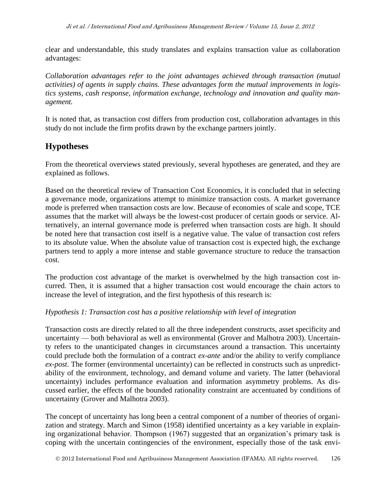clear and understandable, this study translates and explains transaction value as collaboration advantages:

*Collaboration advantages refer to the joint advantages achieved through transaction (mutual activities) of agents in supply chains. These advantages form the mutual improvements in logistics systems, cash response, information exchange, technology and innovation and quality management.* 

It is noted that, as transaction cost differs from production cost, collaboration advantages in this study do not include the firm profits drawn by the exchange partners jointly.

## **Hypotheses**

From the theoretical overviews stated previously, several hypotheses are generated, and they are explained as follows.

Based on the theoretical review of Transaction Cost Economics, it is concluded that in selecting a governance mode, organizations attempt to minimize transaction costs. A market governance mode is preferred when transaction costs are low. Because of economies of scale and scope, TCE assumes that the market will always be the lowest-cost producer of certain goods or service. Alternatively, an internal governance mode is preferred when transaction costs are high. It should be noted here that transaction cost itself is a negative value. The value of transaction cost refers to its absolute value. When the absolute value of transaction cost is expected high, the exchange partners tend to apply a more intense and stable governance structure to reduce the transaction cost.

The production cost advantage of the market is overwhelmed by the high transaction cost incurred. Then, it is assumed that a higher transaction cost would encourage the chain actors to increase the level of integration, and the first hypothesis of this research is:

## *Hypothesis 1: Transaction cost has a positive relationship with level of integration*

Transaction costs are directly related to all the three independent constructs, asset specificity and uncertainty — both behavioral as well as environmental (Grover and Malhotra 2003). Uncertainty refers to the unanticipated changes in circumstances around a transaction. This uncertainty could preclude both the formulation of a contract *ex-ante* and/or the ability to verify compliance *ex-post*. The former (environmental uncertainty) can be reflected in constructs such as unpredictability of the environment, technology, and demand volume and variety. The latter (behavioral uncertainty) includes performance evaluation and information asymmetry problems. As discussed earlier, the effects of the bounded rationality constraint are accentuated by conditions of uncertainty (Grover and Malhotra 2003).

The concept of uncertainty has long been a central component of a number of theories of organization and strategy. March and Simon (1958) identified uncertainty as a key variable in explaining organizational behavior. Thompson (1967) suggested that an organization's primary task is coping with the uncertain contingencies of the environment, especially those of the task envi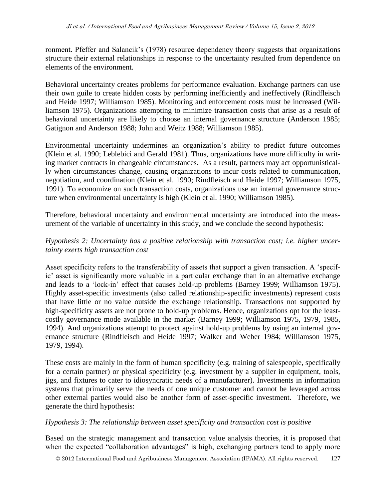ronment. Pfeffer and Salancik's (1978) resource dependency theory suggests that organizations structure their external relationships in response to the uncertainty resulted from dependence on elements of the environment.

Behavioral uncertainty creates problems for performance evaluation. Exchange partners can use their own guile to create hidden costs by performing inefficiently and ineffectively (Rindfleisch and Heide 1997; Williamson 1985). Monitoring and enforcement costs must be increased (Williamson 1975). Organizations attempting to minimize transaction costs that arise as a result of behavioral uncertainty are likely to choose an internal governance structure (Anderson 1985; Gatignon and Anderson 1988; John and Weitz 1988; Williamson 1985).

Environmental uncertainty undermines an organization's ability to predict future outcomes (Klein et al. 1990; Leblebici and Gerald 1981). Thus, organizations have more difficulty in writing market contracts in changeable circumstances. As a result, partners may act opportunistically when circumstances change, causing organizations to incur costs related to communication, negotiation, and coordination (Klein et al. 1990; Rindfleisch and Heide 1997; Williamson 1975, 1991). To economize on such transaction costs, organizations use an internal governance structure when environmental uncertainty is high (Klein et al. 1990; Williamson 1985).

Therefore, behavioral uncertainty and environmental uncertainty are introduced into the measurement of the variable of uncertainty in this study, and we conclude the second hypothesis:

## *Hypothesis 2: Uncertainty has a positive relationship with transaction cost; i.e. higher uncertainty exerts high transaction cost*

Asset specificity refers to the transferability of assets that support a given transaction. A 'specific' asset is significantly more valuable in a particular exchange than in an alternative exchange and leads to a 'lock-in' effect that causes hold-up problems (Barney 1999; Williamson 1975). Highly asset-specific investments (also called relationship-specific investments) represent costs that have little or no value outside the exchange relationship. Transactions not supported by high-specificity assets are not prone to hold-up problems. Hence, organizations opt for the leastcostly governance mode available in the market (Barney 1999; Williamson 1975, 1979, 1985, 1994). And organizations attempt to protect against hold-up problems by using an internal governance structure (Rindfleisch and Heide 1997; Walker and Weber 1984; Williamson 1975, 1979, 1994).

These costs are mainly in the form of human specificity (e.g. training of salespeople, specifically for a certain partner) or physical specificity (e.g. investment by a supplier in equipment, tools, jigs, and fixtures to cater to idiosyncratic needs of a manufacturer). Investments in information systems that primarily serve the needs of one unique customer and cannot be leveraged across other external parties would also be another form of asset-specific investment. Therefore, we generate the third hypothesis:

### *Hypothesis 3: The relationship between asset specificity and transaction cost is positive*

Based on the strategic management and transaction value analysis theories, it is proposed that when the expected "collaboration advantages" is high, exchanging partners tend to apply more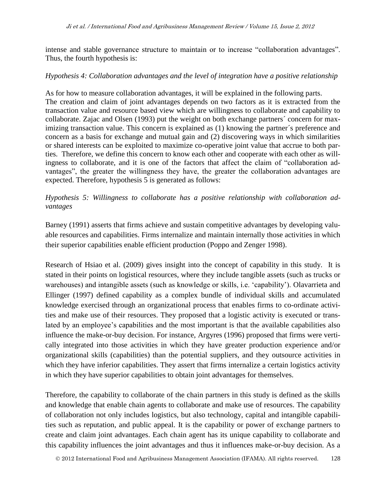intense and stable governance structure to maintain or to increase "collaboration advantages". Thus, the fourth hypothesis is:

### *Hypothesis 4: Collaboration advantages and the level of integration have a positive relationship*

As for how to measure collaboration advantages, it will be explained in the following parts. The creation and claim of joint advantages depends on two factors as it is extracted from the transaction value and resource based view which are willingness to collaborate and capability to collaborate. Zajac and Olsen (1993) put the weight on both exchange partners´ concern for maximizing transaction value. This concern is explained as (1) knowing the partner´s preference and concern as a basis for exchange and mutual gain and (2) discovering ways in which similarities or shared interests can be exploited to maximize co-operative joint value that accrue to both parties. Therefore, we define this concern to know each other and cooperate with each other as willingness to collaborate, and it is one of the factors that affect the claim of "collaboration advantages", the greater the willingness they have, the greater the collaboration advantages are expected. Therefore, hypothesis 5 is generated as follows:

## *Hypothesis 5: Willingness to collaborate has a positive relationship with collaboration advantages*

Barney (1991) asserts that firms achieve and sustain competitive advantages by developing valuable resources and capabilities. Firms internalize and maintain internally those activities in which their superior capabilities enable efficient production (Poppo and Zenger 1998).

Research of Hsiao et al. (2009) gives insight into the concept of capability in this study. It is stated in their points on logistical resources, where they include tangible assets (such as trucks or warehouses) and intangible assets (such as knowledge or skills, i.e. 'capability'). Olavarrieta and Ellinger (1997) defined capability as a complex bundle of individual skills and accumulated knowledge exercised through an organizational process that enables firms to co-ordinate activities and make use of their resources. They proposed that a logistic activity is executed or translated by an employee's capabilities and the most important is that the available capabilities also influence the make-or-buy decision. For instance, Argyres (1996) proposed that firms were vertically integrated into those activities in which they have greater production experience and/or organizational skills (capabilities) than the potential suppliers, and they outsource activities in which they have inferior capabilities. They assert that firms internalize a certain logistics activity in which they have superior capabilities to obtain joint advantages for themselves.

Therefore, the capability to collaborate of the chain partners in this study is defined as the skills and knowledge that enable chain agents to collaborate and make use of resources. The capability of collaboration not only includes logistics, but also technology, capital and intangible capabilities such as reputation, and public appeal. It is the capability or power of exchange partners to create and claim joint advantages. Each chain agent has its unique capability to collaborate and this capability influences the joint advantages and thus it influences make-or-buy decision. As a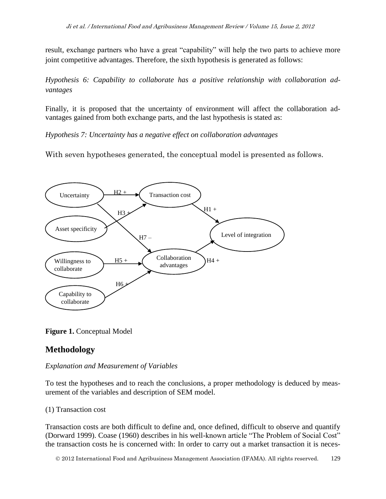result, exchange partners who have a great "capability" will help the two parts to achieve more joint competitive advantages. Therefore, the sixth hypothesis is generated as follows:

*Hypothesis 6: Capability to collaborate has a positive relationship with collaboration advantages*

Finally, it is proposed that the uncertainty of environment will affect the collaboration advantages gained from both exchange parts, and the last hypothesis is stated as:

*Hypothesis 7: Uncertainty has a negative effect on collaboration advantages*

With seven hypotheses generated, the conceptual model is presented as follows.



**Figure 1.** Conceptual Model

## **Methodology**

## *Explanation and Measurement of Variables*

To test the hypotheses and to reach the conclusions, a proper methodology is deduced by measurement of the variables and description of SEM model.

## (1) Transaction cost

Transaction costs are both difficult to define and, once defined, difficult to observe and quantify (Dorward 1999). Coase (1960) describes in his well-known article "The Problem of Social Cost" the transaction costs he is concerned with: In order to carry out a market transaction it is neces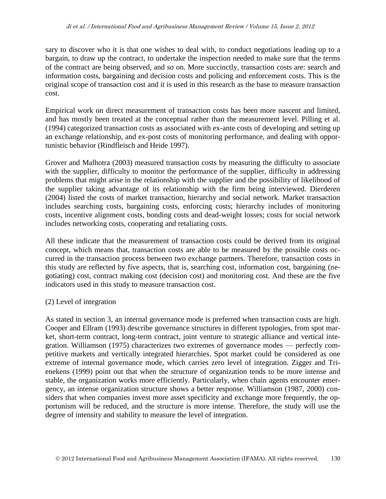sary to discover who it is that one wishes to deal with, to conduct negotiations leading up to a bargain, to draw up the contract, to undertake the inspection needed to make sure that the terms of the contract are being observed, and so on. More succinctly, transaction costs are: search and information costs, bargaining and decision costs and policing and enforcement costs. This is the original scope of transaction cost and it is used in this research as the base to measure transaction cost.

Empirical work on direct measurement of transaction costs has been more nascent and limited, and has mostly been treated at the conceptual rather than the measurement level. Pilling et al. (1994) categorized transaction costs as associated with ex-ante costs of developing and setting up an exchange relationship, and ex-post costs of monitoring performance, and dealing with opportunistic behavior (Rindfleisch and Heide 1997).

Grover and Malhotra (2003) measured transaction costs by measuring the difficulty to associate with the supplier, difficulty to monitor the performance of the supplier, difficulty in addressing problems that might arise in the relationship with the supplier and the possibility of likelihood of the supplier taking advantage of its relationship with the firm being interviewed. Dierderen (2004) listed the costs of market transaction, hierarchy and social network. Market transaction includes searching costs, bargaining costs, enforcing costs; hierarchy includes of monitoring costs, incentive alignment costs, bonding costs and dead-weight losses; costs for social network includes networking costs, cooperating and retaliating costs.

All these indicate that the measurement of transaction costs could be derived from its original concept, which means that, transaction costs are able to be measured by the possible costs occurred in the transaction process between two exchange partners. Therefore, transaction costs in this study are reflected by five aspects, that is, searching cost, information cost, bargaining (negotiating) cost, contract making cost (decision cost) and monitoring cost. And these are the five indicators used in this study to measure transaction cost.

### (2) Level of integration

As stated in section 3, an internal governance mode is preferred when transaction costs are high. Cooper and Ellram (1993) describe governance structures in different typologies, from spot market, short-term contract, long-term contract, joint venture to strategic alliance and vertical integration. Williamson (1975) characterizes two extremes of governance modes — perfectly competitive markets and vertically integrated hierarchies. Spot market could be considered as one extreme of internal governance mode, which carries zero level of integration. Zigger and Trienekens (1999) point out that when the structure of organization tends to be more intense and stable, the organization works more efficiently. Particularly, when chain agents encounter emergency, an intense organization structure shows a better response. Williamson (1987, 2000) considers that when companies invest more asset specificity and exchange more frequently, the opportunism will be reduced, and the structure is more intense. Therefore, the study will use the degree of intensity and stability to measure the level of integration.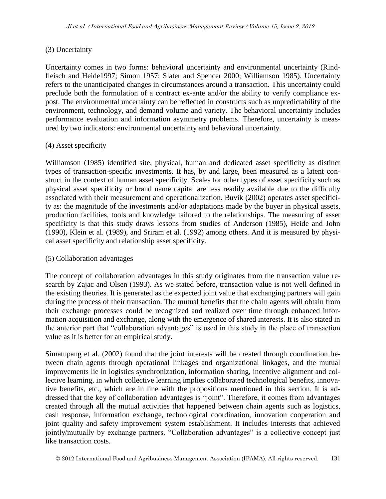#### (3) Uncertainty

Uncertainty comes in two forms: behavioral uncertainty and environmental uncertainty (Rindfleisch and Heide1997; Simon 1957; Slater and Spencer 2000; Williamson 1985). Uncertainty refers to the unanticipated changes in circumstances around a transaction. This uncertainty could preclude both the formulation of a contract ex-ante and/or the ability to verify compliance expost. The environmental uncertainty can be reflected in constructs such as unpredictability of the environment, technology, and demand volume and variety. The behavioral uncertainty includes performance evaluation and information asymmetry problems. Therefore, uncertainty is measured by two indicators: environmental uncertainty and behavioral uncertainty.

#### (4) Asset specificity

Williamson (1985) identified site, physical, human and dedicated asset specificity as distinct types of transaction-specific investments. It has, by and large, been measured as a latent construct in the context of human asset specificity. Scales for other types of asset specificity such as physical asset specificity or brand name capital are less readily available due to the difficulty associated with their measurement and operationalization. Buvik (2002) operates asset specificity as: the magnitude of the investments and/or adaptations made by the buyer in physical assets, production facilities, tools and knowledge tailored to the relationships. The measuring of asset specificity is that this study draws lessons from studies of Anderson (1985), Heide and John (1990), Klein et al. (1989), and Sriram et al. (1992) among others. And it is measured by physical asset specificity and relationship asset specificity.

#### (5) Collaboration advantages

The concept of collaboration advantages in this study originates from the transaction value research by Zajac and Olsen (1993). As we stated before, transaction value is not well defined in the existing theories. It is generated as the expected joint value that exchanging partners will gain during the process of their transaction. The mutual benefits that the chain agents will obtain from their exchange processes could be recognized and realized over time through enhanced information acquisition and exchange, along with the emergence of shared interests. It is also stated in the anterior part that "collaboration advantages" is used in this study in the place of transaction value as it is better for an empirical study.

Simatupang et al. (2002) found that the joint interests will be created through coordination between chain agents through operational linkages and organizational linkages, and the mutual improvements lie in logistics synchronization, information sharing, incentive alignment and collective learning, in which collective learning implies collaborated technological benefits, innovative benefits, etc., which are in line with the propositions mentioned in this section. It is addressed that the key of collaboration advantages is "joint". Therefore, it comes from advantages created through all the mutual activities that happened between chain agents such as logistics, cash response, information exchange, technological coordination, innovation cooperation and joint quality and safety improvement system establishment. It includes interests that achieved jointly/mutually by exchange partners. "Collaboration advantages" is a collective concept just like transaction costs.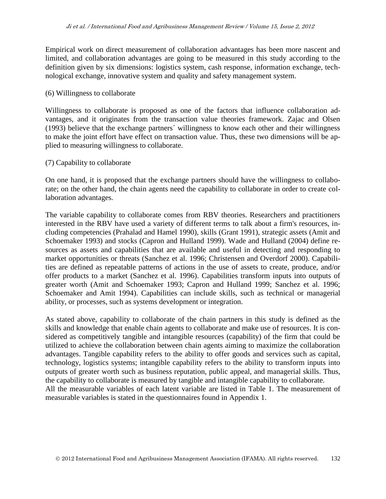Empirical work on direct measurement of collaboration advantages has been more nascent and limited, and collaboration advantages are going to be measured in this study according to the definition given by six dimensions: logistics system, cash response, information exchange, technological exchange, innovative system and quality and safety management system.

#### (6) Willingness to collaborate

Willingness to collaborate is proposed as one of the factors that influence collaboration advantages, and it originates from the transaction value theories framework. Zajac and Olsen (1993) believe that the exchange partners´ willingness to know each other and their willingness to make the joint effort have effect on transaction value. Thus, these two dimensions will be applied to measuring willingness to collaborate.

#### (7) Capability to collaborate

On one hand, it is proposed that the exchange partners should have the willingness to collaborate; on the other hand, the chain agents need the capability to collaborate in order to create collaboration advantages.

The variable capability to collaborate comes from RBV theories. Researchers and practitioners interested in the RBV have used a variety of different terms to talk about a firm's resources, including competencies (Prahalad and Hamel 1990), skills (Grant 1991), strategic assets (Amit and Schoemaker 1993) and stocks (Capron and Hulland 1999). Wade and Hulland (2004) define resources as assets and capabilities that are available and useful in detecting and responding to market opportunities or threats (Sanchez et al. 1996; Christensen and Overdorf 2000). Capabilities are defined as repeatable patterns of actions in the use of assets to create, produce, and/or offer products to a market (Sanchez et al. 1996). Capabilities transform inputs into outputs of greater worth (Amit and Schoemaker 1993; Capron and Hulland 1999; Sanchez et al. 1996; Schoemaker and Amit 1994). Capabilities can include skills, such as technical or managerial ability, or processes, such as systems development or integration.

As stated above, capability to collaborate of the chain partners in this study is defined as the skills and knowledge that enable chain agents to collaborate and make use of resources. It is considered as competitively tangible and intangible resources (capability) of the firm that could be utilized to achieve the collaboration between chain agents aiming to maximize the collaboration advantages. Tangible capability refers to the ability to offer goods and services such as capital, technology, logistics systems; intangible capability refers to the ability to transform inputs into outputs of greater worth such as business reputation, public appeal, and managerial skills. Thus, the capability to collaborate is measured by tangible and intangible capability to collaborate. All the measurable variables of each latent variable are listed in Table 1. The measurement of measurable variables is stated in the questionnaires found in Appendix 1.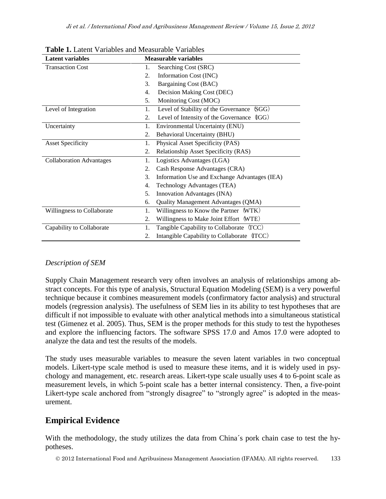| <b>Latent variables</b>         |    | <b>Measurable variables</b>                   |
|---------------------------------|----|-----------------------------------------------|
| <b>Transaction Cost</b>         | 1. | Searching Cost (SRC)                          |
|                                 | 2. | Information Cost (INC)                        |
|                                 | 3. | Bargaining Cost (BAC)                         |
|                                 | 4. | Decision Making Cost (DEC)                    |
|                                 | 5. | Monitoring Cost (MOC)                         |
| Level of Integration            | 1. | SGG)<br>Level of Stability of the Governance  |
|                                 | 2. | (QG)<br>Level of Intensity of the Governance  |
| Uncertainty                     | 1. | <b>Environmental Uncertainty (ENU)</b>        |
|                                 | 2. | <b>Behavioral Uncertainty (BHU)</b>           |
| <b>Asset Specificity</b>        | 1. | Physical Asset Specificity (PAS)              |
|                                 | 2. | Relationship Asset Specificity (RAS)          |
| <b>Collaboration Advantages</b> | 1. | Logistics Advantages (LGA)                    |
|                                 | 2. | Cash Response Advantages (CRA)                |
|                                 | 3. | Information Use and Exchange Advantages (IEA) |
|                                 | 4. | Technology Advantages (TEA)                   |
|                                 | 5. | Innovation Advantages (INA)                   |
|                                 | 6. | Quality Management Advantages (QMA)           |
| Willingness to Collaborate      | 1. | Willingness to Know the Partner (WTK)         |
|                                 | 2. | Willingness to Make Joint Effort (WTE)        |
| Capability to Collaborate       | 1. | Tangible Capability to Collaborate (TCC)      |
|                                 | 2. | Intangible Capability to Collaborate (ITCC)   |

**Table 1. Latent Variables and Measurable Variables and Measurable Variables and Measurable Variables and Measurable** 

## *Description of SEM*

Supply Chain Management research very often involves an analysis of relationships among abstract concepts. For this type of analysis, Structural Equation Modeling (SEM) is a very powerful technique because it combines measurement models (confirmatory factor analysis) and structural models (regression analysis). The usefulness of SEM lies in its ability to test hypotheses that are difficult if not impossible to evaluate with other analytical methods into a simultaneous statistical test (Gimenez et al. 2005). Thus, SEM is the proper methods for this study to test the hypotheses and explore the influencing factors. The software SPSS 17.0 and Amos 17.0 were adopted to analyze the data and test the results of the models.

The study uses measurable variables to measure the seven latent variables in two conceptual models. Likert-type scale method is used to measure these items, and it is widely used in psychology and management, etc. research areas. Likert-type scale usually uses 4 to 6-point scale as measurement levels, in which 5-point scale has a better internal consistency. Then, a five-point Likert-type scale anchored from "strongly disagree" to "strongly agree" is adopted in the measurement.

## **Empirical Evidence**

With the methodology, the study utilizes the data from China's pork chain case to test the hypotheses.

2012 International Food and Agribusiness Management Association (IFAMA). All rights reserved. 133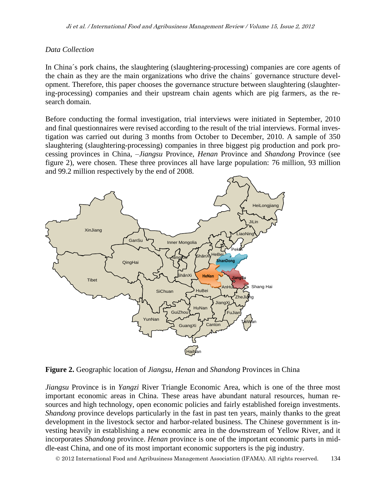#### *Data Collection*

In China´s pork chains, the slaughtering (slaughtering-processing) companies are core agents of the chain as they are the main organizations who drive the chains´ governance structure development. Therefore, this paper chooses the governance structure between slaughtering (slaughtering-processing) companies and their upstream chain agents which are pig farmers, as the research domain.

Before conducting the formal investigation, trial interviews were initiated in September, 2010 and final questionnaires were revised according to the result of the trial interviews. Formal investigation was carried out during 3 months from October to December, 2010. A sample of 350 slaughtering (slaughtering-processing) companies in three biggest pig production and pork processing provinces in China, –*Jiangsu* Province, *Henan* Province and *Shandong* Province (see figure 2), were chosen. These three provinces all have large population: 76 million, 93 million and 99.2 million respectively by the end of 2008.



**Figure 2.** Geographic location of *Jiangsu*, *Henan* and *Shandong* Provinces in China

*Jiangsu* Province is in *Yangzi* River Triangle Economic Area, which is one of the three most important economic areas in China. These areas have abundant natural resources, human resources and high technology, open economic policies and fairly established foreign investments. *Shandong* province develops particularly in the fast in past ten years, mainly thanks to the great development in the livestock sector and harbor-related business. The Chinese government is investing heavily in establishing a new economic area in the downstream of Yellow River, and it incorporates *Shandong* province. *Henan* province is one of the important economic parts in middle-east China, and one of its most important economic supporters is the pig industry.

2012 International Food and Agribusiness Management Association (IFAMA). All rights reserved. 134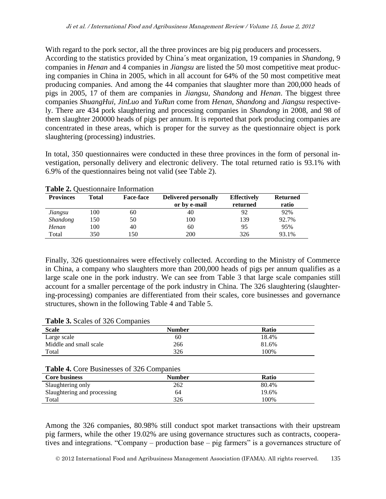With regard to the pork sector, all the three provinces are big pig producers and processers. According to the statistics provided by China´s meat organization, 19 companies in *Shandong*, 9 companies in *Henan* and 4 companies in *Jiangsu* are listed the 50 most competitive meat producing companies in China in 2005, which in all account for 64% of the 50 most competitive meat producing companies. And among the 44 companies that slaughter more than 200,000 heads of pigs in 2005, 17 of them are companies in *Jiangsu*, *Shandong* and *Henan*. The biggest three companies *ShuangHui, JinLuo* and *YuRun* come from *Henan*, *Shandong* and *Jiangsu* respectively. There are 434 pork slaughtering and processing companies in *Shandong* in 2008, and 98 of them slaughter 200000 heads of pigs per annum. It is reported that pork producing companies are concentrated in these areas, which is proper for the survey as the questionnaire object is pork slaughtering (processing) industries.

In total, 350 questionnaires were conducted in these three provinces in the form of personal investigation, personally delivery and electronic delivery. The total returned ratio is 93.1% with 6.9% of the questionnaires being not valid (see Table 2).

| <b>Provinces</b> | Total | <b>Face-face</b> | <b>Delivered personally</b> | <b>Effectively</b> | <b>Returned</b> |
|------------------|-------|------------------|-----------------------------|--------------------|-----------------|
|                  |       |                  | or by e-mail                | returned           | ratio           |
| Jiangsu          | 100   | 60               | 40                          | 92                 | 92%             |
| <i>Shandong</i>  | 150   | 50               | 100                         | 139                | 92.7%           |
| Henan            | 100   | 40               | 60                          | 95                 | 95%             |
| Total            | 350   | l 50             | 200                         | 326                | 93.1%           |

**Table 2.** Questionnaire Information

Finally, 326 questionnaires were effectively collected. According to the Ministry of Commerce in China, a company who slaughters more than 200,000 heads of pigs per annum qualifies as a large scale one in the pork industry. We can see from Table 3 that large scale companies still account for a smaller percentage of the pork industry in China. The 326 slaughtering (slaughtering-processing) companies are differentiated from their scales, core businesses and governance structures, shown in the following Table 4 and Table 5.

#### **Table 3.** Scales of 326 Companies

| <b>Scale</b>           | <b>Number</b> | Ratio |
|------------------------|---------------|-------|
| Large scale            | 60            | 18.4% |
| Middle and small scale | 266           | 81.6% |
| Total                  | 326           | 100%  |

#### **Table 4.** Core Businesses of 326 Companies

| <b>Core business</b>        | <b>Number</b> | Ratio |
|-----------------------------|---------------|-------|
| Slaughtering only           | 262           | 80.4% |
| Slaughtering and processing | 64            | 19.6% |
| Total                       | 326           | 100%  |

Among the 326 companies, 80.98% still conduct spot market transactions with their upstream pig farmers, while the other 19.02% are using governance structures such as contracts, cooperatives and integrations. "Company – production base – pig farmers" is a governances structure of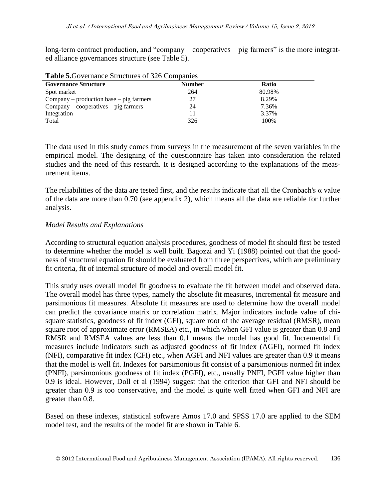long-term contract production, and "company – cooperatives – pig farmers" is the more integrated alliance governances structure (see Table 5).

| <b>Governance Structure</b>               | <b>Number</b> | <b>Ratio</b> |  |  |  |  |
|-------------------------------------------|---------------|--------------|--|--|--|--|
| Spot market                               | 264           | 80.98%       |  |  |  |  |
| $Company$ – production base – pig farmers | 27            | 8.29%        |  |  |  |  |
| $Company - cooperatives - pig farmers$    | 24            | 7.36%        |  |  |  |  |
| Integration                               |               | 3.37%        |  |  |  |  |
| Total                                     | 326           | 100%         |  |  |  |  |

**Table 5.**Governance Structures of 326 Companies

The data used in this study comes from surveys in the measurement of the seven variables in the empirical model. The designing of the questionnaire has taken into consideration the related studies and the need of this research. It is designed according to the explanations of the measurement items.

The reliabilities of the data are tested first, and the results indicate that all the Cronbach's  $\alpha$  value of the data are more than 0.70 (see appendix 2), which means all the data are reliable for further analysis.

#### *Model Results and Explanations*

According to structural equation analysis procedures, goodness of model fit should first be tested to determine whether the model is well built. Bagozzi and Yi (1988) pointed out that the goodness of structural equation fit should be evaluated from three perspectives, which are preliminary fit criteria, fit of internal structure of model and overall model fit.

This study uses overall model fit goodness to evaluate the fit between model and observed data. The overall model has three types, namely the absolute fit measures, incremental fit measure and parsimonious fit measures. Absolute fit measures are used to determine how the overall model can predict the covariance matrix or correlation matrix. Major indicators include value of chisquare statistics, goodness of fit index (GFI), square root of the average residual (RMSR), mean square root of approximate error (RMSEA) etc., in which when GFI value is greater than 0.8 and RMSR and RMSEA values are less than 0.1 means the model has good fit. Incremental fit measures include indicators such as adjusted goodness of fit index (AGFI), normed fit index (NFI), comparative fit index (CFI) etc., when AGFI and NFI values are greater than 0.9 it means that the model is well fit. Indexes for parsimonious fit consist of a parsimonious normed fit index (PNFI), parsimonious goodness of fit index (PGFI), etc., usually PNFI, PGFI value higher than 0.9 is ideal. However, Doll et al (1994) suggest that the criterion that GFI and NFI should be greater than 0.9 is too conservative, and the model is quite well fitted when GFI and NFI are greater than 0.8.

Based on these indexes, statistical software Amos 17.0 and SPSS 17.0 are applied to the SEM model test, and the results of the model fit are shown in Table 6.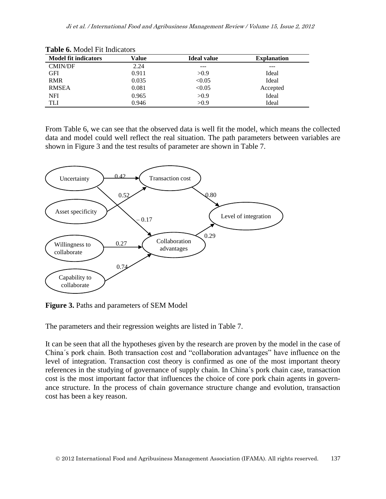| <b>Model fit indicators</b> | Value | <b>Ideal value</b> | <b>Explanation</b> |
|-----------------------------|-------|--------------------|--------------------|
| <b>CMIN/DF</b>              | 2.24  | ---                | ---                |
| <b>GFI</b>                  | 0.911 | >0.9               | Ideal              |
| <b>RMR</b>                  | 0.035 | < 0.05             | Ideal              |
| <b>RMSEA</b>                | 0.081 | < 0.05             | Accepted           |
| <b>NFI</b>                  | 0.965 | >0.9               | Ideal              |
| TLI                         | 0.946 | >0.9               | Ideal              |

**Table 6.** Model Fit Indicators

From Table 6, we can see that the observed data is well fit the model, which means the collected data and model could well reflect the real situation. The path parameters between variables are shown in Figure 3 and the test results of parameter are shown in Table 7.



**Figure 3.** Paths and parameters of SEM Model

The parameters and their regression weights are listed in Table 7.

It can be seen that all the hypotheses given by the research are proven by the model in the case of China´s pork chain. Both transaction cost and "collaboration advantages" have influence on the level of integration. Transaction cost theory is confirmed as one of the most important theory references in the studying of governance of supply chain. In China´s pork chain case, transaction cost is the most important factor that influences the choice of core pork chain agents in governance structure. In the process of chain governance structure change and evolution, transaction cost has been a key reason.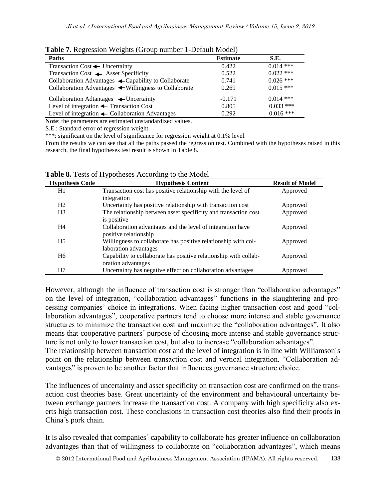| Paths                                                           | <b>Estimate</b> | S.E.        |
|-----------------------------------------------------------------|-----------------|-------------|
| Transaction Cost $\leftarrow$ Uncertainty                       | 0.422           | $0.014$ *** |
| Transaction Cost <a>Asset Specificity</a>                       | 0.522           | $0.022$ *** |
| Collaboration Advantages $\leftarrow$ Capability to Collaborate | 0.741           | $0.026$ *** |
| Collaboration Advantages ← Willingness to Collaborate           | 0.269           | $0.015$ *** |
| Collaboration Adtantages $\leftarrow$ Uncertainty               | $-0.171$        | $0.014$ *** |
| Level of integration $\leftarrow$ Transaction Cost              | 0.805           | $0.033$ *** |
| Level of integration $\leftarrow$ Collaboration Advantages      | 0.292           | $0.016$ *** |

**Table 7.** Regression Weights (Group number 1-Default Model)

**Note**: the parameters are estimated unstandardized values.

S.E.: Standard error of regression weight

\*\*\*: significant on the level of significance for regression weight at 0.1% level.

From the results we can see that all the paths passed the regression test. Combined with the hypotheses raised in this research, the final hypotheses test result is shown in Table 8.

| <b>Hypothesis Code</b> | <b>Hypothesis Content</b>                                                                          | <b>Result of Model</b> |
|------------------------|----------------------------------------------------------------------------------------------------|------------------------|
| H1                     | Transaction cost has positive relationship with the level of                                       | Approved               |
|                        | integration                                                                                        |                        |
| H <sub>2</sub>         | Uncertainty has positive relationship with transaction cost                                        | Approved               |
| H <sub>3</sub>         | The relationship between asset specificity and transaction cost                                    | Approved               |
| H4                     | is positive<br>Collaboration advantages and the level of integration have<br>positive relationship | Approved               |
| H <sub>5</sub>         | Willingness to collaborate has positive relationship with col-<br>laboration advantages            | Approved               |
| H <sub>6</sub>         | Capability to collaborate has positive relationship with collab-<br>oration advantages             | Approved               |
| H7                     | Uncertainty has negative effect on collaboration advantages                                        | Approved               |

**Table 8.** Tests of Hypotheses According to the Model

However, although the influence of transaction cost is stronger than "collaboration advantages" on the level of integration, "collaboration advantages" functions in the slaughtering and processing companies' choice in integrations. When facing higher transaction cost and good "collaboration advantages", cooperative partners tend to choose more intense and stable governance structures to minimize the transaction cost and maximize the "collaboration advantages". It also means that cooperative partners´ purpose of choosing more intense and stable governance structure is not only to lower transaction cost, but also to increase "collaboration advantages".

The relationship between transaction cost and the level of integration is in line with Williamson´s point on the relationship between transaction cost and vertical integration. "Collaboration advantages" is proven to be another factor that influences governance structure choice.

The influences of uncertainty and asset specificity on transaction cost are confirmed on the transaction cost theories base. Great uncertainty of the environment and behavioural uncertainty between exchange partners increase the transaction cost. A company with high specificity also exerts high transaction cost. These conclusions in transaction cost theories also find their proofs in China´s pork chain.

It is also revealed that companies´ capability to collaborate has greater influence on collaboration advantages than that of willingness to collaborate on "collaboration advantages", which means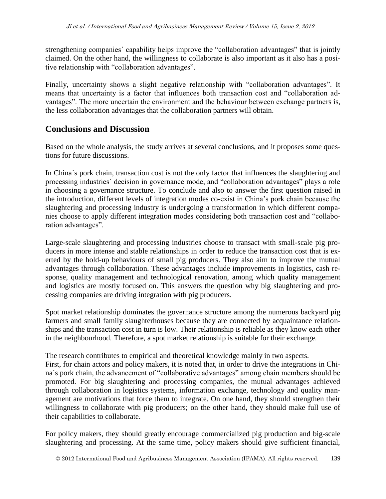strengthening companies´ capability helps improve the "collaboration advantages" that is jointly claimed. On the other hand, the willingness to collaborate is also important as it also has a positive relationship with "collaboration advantages".

Finally, uncertainty shows a slight negative relationship with "collaboration advantages". It means that uncertainty is a factor that influences both transaction cost and "collaboration advantages". The more uncertain the environment and the behaviour between exchange partners is, the less collaboration advantages that the collaboration partners will obtain.

## **Conclusions and Discussion**

Based on the whole analysis, the study arrives at several conclusions, and it proposes some questions for future discussions.

In China´s pork chain, transaction cost is not the only factor that influences the slaughtering and processing industries´ decision in governance mode, and "collaboration advantages" plays a role in choosing a governance structure. To conclude and also to answer the first question raised in the introduction, different levels of integration modes co-exist in China's pork chain because the slaughtering and processing industry is undergoing a transformation in which different companies choose to apply different integration modes considering both transaction cost and "collaboration advantages".

Large-scale slaughtering and processing industries choose to transact with small-scale pig producers in more intense and stable relationships in order to reduce the transaction cost that is exerted by the hold-up behaviours of small pig producers. They also aim to improve the mutual advantages through collaboration. These advantages include improvements in logistics, cash response, quality management and technological renovation, among which quality management and logistics are mostly focused on. This answers the question why big slaughtering and processing companies are driving integration with pig producers.

Spot market relationship dominates the governance structure among the numerous backyard pig farmers and small family slaughterhouses because they are connected by acquaintance relationships and the transaction cost in turn is low. Their relationship is reliable as they know each other in the neighbourhood. Therefore, a spot market relationship is suitable for their exchange.

The research contributes to empirical and theoretical knowledge mainly in two aspects.

First, for chain actors and policy makers, it is noted that, in order to drive the integrations in China´s pork chain, the advancement of "collaborative advantages" among chain members should be promoted. For big slaughtering and processing companies, the mutual advantages achieved through collaboration in logistics systems, information exchange, technology and quality management are motivations that force them to integrate. On one hand, they should strengthen their willingness to collaborate with pig producers; on the other hand, they should make full use of their capabilities to collaborate.

For policy makers, they should greatly encourage commercialized pig production and big-scale slaughtering and processing. At the same time, policy makers should give sufficient financial,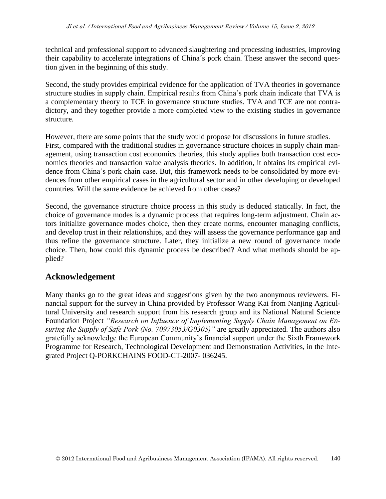technical and professional support to advanced slaughtering and processing industries, improving their capability to accelerate integrations of China´s pork chain. These answer the second question given in the beginning of this study.

Second, the study provides empirical evidence for the application of TVA theories in governance structure studies in supply chain. Empirical results from China's pork chain indicate that TVA is a complementary theory to TCE in governance structure studies. TVA and TCE are not contradictory, and they together provide a more completed view to the existing studies in governance structure.

However, there are some points that the study would propose for discussions in future studies. First, compared with the traditional studies in governance structure choices in supply chain management, using transaction cost economics theories, this study applies both transaction cost economics theories and transaction value analysis theories. In addition, it obtains its empirical evidence from China's pork chain case. But, this framework needs to be consolidated by more evidences from other empirical cases in the agricultural sector and in other developing or developed countries. Will the same evidence be achieved from other cases?

Second, the governance structure choice process in this study is deduced statically. In fact, the choice of governance modes is a dynamic process that requires long-term adjustment. Chain actors initialize governance modes choice, then they create norms, encounter managing conflicts, and develop trust in their relationships, and they will assess the governance performance gap and thus refine the governance structure. Later, they initialize a new round of governance mode choice. Then, how could this dynamic process be described? And what methods should be applied?

## **Acknowledgement**

Many thanks go to the great ideas and suggestions given by the two anonymous reviewers. Financial support for the survey in China provided by Professor Wang Kai from Nanjing Agricultural University and research support from his research group and its National Natural Science Foundation Project *"Research on Influence of Implementing Supply Chain Management on Ensuring the Supply of Safe Pork (No. 70973053/G0305)"* are greatly appreciated. The authors also gratefully acknowledge the European Community's financial support under the Sixth Framework Programme for Research, Technological Development and Demonstration Activities, in the Integrated Project Q-PORKCHAINS FOOD-CT-2007- 036245.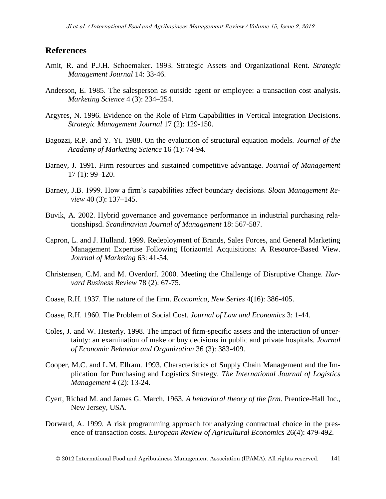## **References**

- Amit, R. and P.J.H. Schoemaker. 1993. Strategic Assets and Organizational Rent. *Strategic Management Journal* 14: 33-46.
- Anderson, E. 1985. The salesperson as outside agent or employee: a transaction cost analysis. *Marketing Science* 4 (3): 234–254.
- Argyres, N. 1996. Evidence on the Role of Firm Capabilities in Vertical Integration Decisions. *Strategic Management Journal* 17 (2): 129-150.
- Bagozzi, R.P. and Y. Yi. 1988. On the evaluation of structural equation models. *Journal of the Academy of Marketing Science* 16 (1): 74-94.
- Barney, J. 1991. Firm resources and sustained competitive advantage. *Journal of Management* 17 (1): 99–120.
- Barney, J.B. 1999. How a firm's capabilities affect boundary decisions. *Sloan Management Review* 40 (3): 137–145.
- Buvik, A. 2002. Hybrid governance and governance performance in industrial purchasing relationshipsd. *Scandinavian Journal of Management* 18: 567-587.
- Capron, L. and J. Hulland. 1999. Redeployment of Brands, Sales Forces, and General Marketing Management Expertise Following Horizontal Acquisitions: A Resource-Based View. *Journal of Marketing* 63: 41-54.
- Christensen, C.M. and M. Overdorf. 2000. Meeting the Challenge of Disruptive Change. *Harvard Business Review* 78 (2): 67-75.
- Coase, R.H. 1937. The nature of the firm. *Economica, New Series* 4(16): 386-405.
- Coase, R.H. 1960. The Problem of Social Cost. *Journal of Law and Economics* 3: 1-44.
- Coles, J. and W. Hesterly. 1998. The impact of firm-specific assets and the interaction of uncertainty: an examination of make or buy decisions in public and private hospitals. *Journal of Economic Behavior and Organization* 36 (3): 383-409.
- Cooper, M.C. and L.M. Ellram. 1993. Characteristics of Supply Chain Management and the Implication for Purchasing and Logistics Strategy. *The International Journal of Logistics Management* 4 (2): 13-24.
- Cyert, Richad M. and James G. March. 1963. *A behavioral theory of the firm*. Prentice-Hall Inc., New Jersey, USA.
- Dorward, A. 1999. A risk programming approach for analyzing contractual choice in the presence of transaction costs. *European Review of Agricultural Economics* 26(4): 479-492.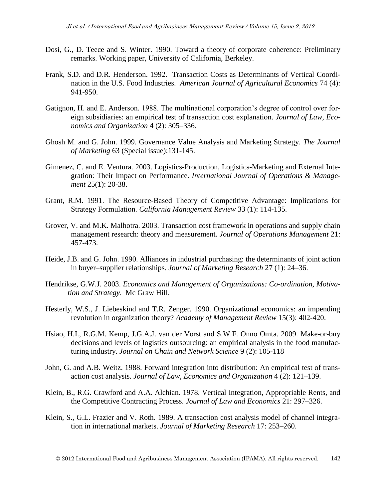- Dosi, G., D. Teece and S. Winter. 1990. Toward a theory of corporate coherence: Preliminary remarks. Working paper, University of California, Berkeley.
- Frank, S.D. and D.R. Henderson. 1992. Transaction Costs as Determinants of Vertical Coordination in the U.S. Food Industries. *American Journal of Agricultural Economics* 74 (4): 941-950.
- Gatignon, H. and E. Anderson. 1988. The multinational corporation's degree of control over foreign subsidiaries: an empirical test of transaction cost explanation. *Journal of Law, Economics and Organization* 4 (2): 305–336.
- Ghosh M. and G. John. 1999. Governance Value Analysis and Marketing Strategy. *The Journal of Marketing* 63 (Special issue):131-145.
- Gimenez, C. and E. Ventura. 2003. Logistics-Production, Logistics-Marketing and External Integration: Their Impact on Performance. *International Journal of Operations & Management* 25(1): 20-38.
- Grant, R.M. 1991. The Resource-Based Theory of Competitive Advantage: Implications for Strategy Formulation. *California Management Review* 33 (1): 114-135.
- Grover, V. and M.K. Malhotra. 2003. Transaction cost framework in operations and supply chain management research: theory and measurement. *Journal of Operations Management* 21: 457-473.
- Heide, J.B. and G. John. 1990. Alliances in industrial purchasing: the determinants of joint action in buyer–supplier relationships. *Journal of Marketing Research* 27 (1): 24–36.
- Hendrikse, G.W.J. 2003. *Economics and Management of Organizations: Co-ordination, Motivation and Strategy*. Mc Graw Hill.
- Hesterly, W.S., J. Liebeskind and T.R. Zenger. 1990. Organizational economics: an impending revolution in organization theory? *Academy of Management Review* 15(3): 402-420.
- Hsiao, H.I., R.G.M. Kemp, J.G.A.J. van der Vorst and S.W.F. Onno Omta. 2009. Make-or-buy decisions and levels of logistics outsourcing: an empirical analysis in the food manufacturing industry. *Journal on Chain and Network Science* 9 (2): 105-118
- John, G. and A.B. Weitz. 1988. Forward integration into distribution: An empirical test of transaction cost analysis. *Journal of Law, Economics and Organization* 4 (2): 121–139.
- Klein, B., R.G. Crawford and A.A. Alchian. 1978. Vertical Integration, Appropriable Rents, and the Competitive Contracting Process. *Journal of Law and Economics* 21: 297–326.
- Klein, S., G.L. Frazier and V. Roth. 1989. A transaction cost analysis model of channel integration in international markets. *Journal of Marketing Research* 17: 253–260.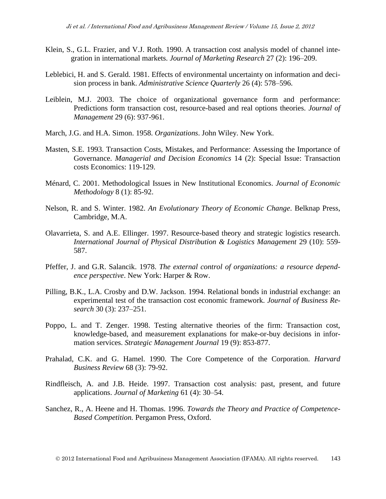- Klein, S., G.L. Frazier, and V.J. Roth. 1990. A transaction cost analysis model of channel integration in international markets. *Journal of Marketing Research* 27 (2): 196–209.
- Leblebici, H. and S. Gerald. 1981. Effects of environmental uncertainty on information and decision process in bank. *Administrative Science Quarterly* 26 (4): 578–596.
- Leiblein, M.J. 2003. The choice of organizational governance form and performance: Predictions form transaction cost, resource-based and real options theories. *Journal of Management* 29 (6): 937-961.
- March, J.G. and H.A. Simon. 1958. *Organizations*. John Wiley. New York.
- Masten, S.E. 1993. Transaction Costs, Mistakes, and Performance: Assessing the Importance of Governance. *Managerial and Decision Economics* 14 (2): Special Issue: Transaction costs Economics: 119-129.
- Ménard, C. 2001. Methodological Issues in New Institutional Economics. *Journal of Economic Methodology* 8 (1): 85-92.
- Nelson, R. and S. Winter. 1982. *An Evolutionary Theory of Economic Change*. Belknap Press, Cambridge, M.A.
- Olavarrieta, S. and A.E. Ellinger. 1997. Resource-based theory and strategic logistics research. *International Journal of Physical Distribution & Logistics Management* 29 (10): 559- 587.
- Pfeffer, J. and G.R. Salancik. 1978. *The external control of organizations: a resource dependence perspective*. New York: Harper & Row.
- Pilling, B.K., L.A. Crosby and D.W. Jackson. 1994. Relational bonds in industrial exchange: an experimental test of the transaction cost economic framework. *Journal of Business Research* 30 (3): 237–251.
- Poppo, L. and T. Zenger. 1998. Testing alternative theories of the firm: Transaction cost, knowledge-based, and measurement explanations for make-or-buy decisions in information services. *Strategic Management Journal* 19 (9): 853-877.
- Prahalad, C.K. and G. Hamel. 1990. The Core Competence of the Corporation. *Harvard Business Review* 68 (3): 79-92.
- Rindfleisch, A. and J.B. Heide. 1997. Transaction cost analysis: past, present, and future applications. *Journal of Marketing* 61 (4): 30–54.
- Sanchez, R., A. Heene and H. Thomas. 1996. *Towards the Theory and Practice of Competence-Based Competition.* Pergamon Press, Oxford.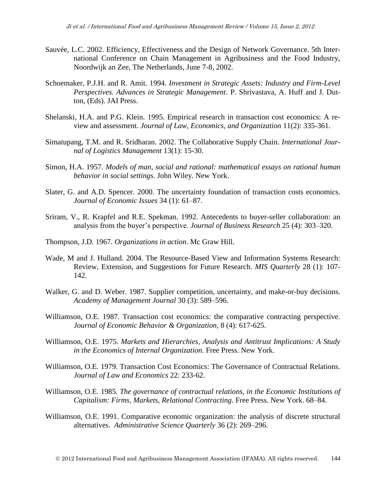- Sauvée, L.C. 2002. Efficiency, Effectiveness and the Design of Network Governance. 5th International Conference on Chain Management in Agribusiness and the Food Industry, Noordwijk an Zee, The Netherlands, June 7-8, 2002.
- Schoemaker, P.J.H. and R. Amit. 1994. *Investment in Strategic Assets: Industry and Firm-Level Perspectives. Advances in Strategic Management*. P. Shrivastava, A. Huff and J. Dutton, (Eds). JAI Press.
- Shelanski, H.A. and P.G. Klein. 1995. Empirical research in transaction cost economics: A review and assessment. *Journal of Law, Economics, and Organization* 11(2): 335-361.
- Simatupang, T.M. and R. Sridharan. 2002. The Collaborative Supply Chain. *International Journal of Logistics Management* 13(1): 15-30.
- Simon, H.A. 1957. *Models of man, social and rational: mathematical essays on rational human behavior in social settings*. John Wiley. New York.
- Slater, G. and A.D. Spencer. 2000. The uncertainty foundation of transaction costs economics. *Journal of Economic Issues* 34 (1): 61–87.
- Sriram, V., R. Krapfel and R.E. Spekman. 1992. Antecedents to buyer-seller collaboration: an analysis from the buyer's perspective. *Journal of Business Research* 25 (4): 303–320.
- Thompson, J.D. 1967*. Organizations in action*. Mc Graw Hill.
- Wade, M and J. Hulland. 2004. The Resource-Based View and Information Systems Research: Review, Extension, and Suggestions for Future Research. *MIS Quarterly* 28 (1): 107- 142.
- Walker, G. and D. Weber. 1987. Supplier competition, uncertainty, and make-or-buy decisions. *Academy of Management Journal* 30 (3): 589–596.
- Williamson, O.E. 1987. Transaction cost economics: the comparative contracting perspective. *Journal of Economic Behavior & Organization*, 8 (4): 617-625.
- Williamson, O.E. 1975. *Markets and Hierarchies, Analysis and Antitrust Implications: A Study in the Economics of Internal Organization*. Free Press. New York.
- Williamson, O.E. 1979. Transaction Cost Economics: The Governance of Contractual Relations. *Journal of Law and Economics* 22: 233-62.
- Williamson, O.E. 1985. *The governance of contractual relations, in the Economic Institutions of Capitalism: Firms, Markets, Relational Contracting*. Free Press. New York. 68–84.
- Williamson, O.E. 1991. Comparative economic organization: the analysis of discrete structural alternatives. *Administrative Science Quarterly* 36 (2): 269–296.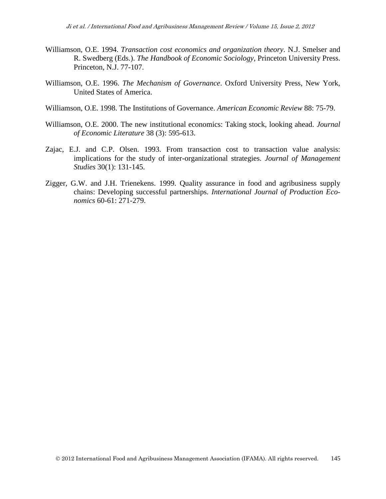- Williamson, O.E. 1994. *Transaction cost economics and organization theory*. N.J. Smelser and R. Swedberg (Eds.). *The Handbook of Economic Sociology*, Princeton University Press. Princeton, N.J. 77-107.
- Williamson, O.E. 1996. *The Mechanism of Governance*. Oxford University Press, New York, United States of America.
- Williamson, O.E. 1998. The Institutions of Governance. *American Economic Review* 88: 75-79.
- Williamson, O.E. 2000. The new institutional economics: Taking stock, looking ahead. *Journal of Economic Literature* 38 (3): 595-613.
- Zajac, E.J. and C.P. Olsen. 1993. From transaction cost to transaction value analysis: implications for the study of inter-organizational strategies. *Journal of Management Studies* 30(1): 131-145.
- Zigger, G.W. and J.H. Trienekens. 1999. Quality assurance in food and agribusiness supply chains: Developing successful partnerships. *International Journal of Production Economics* 60-61: 271-279.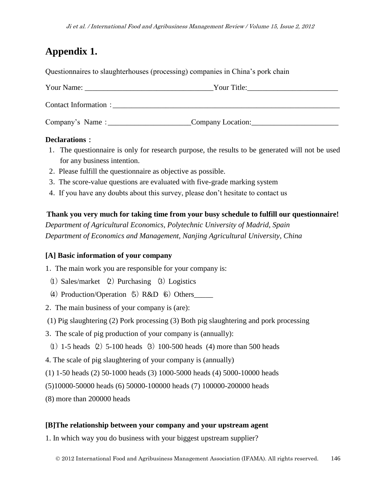# **Appendix 1.**

Questionnaires to slaughterhouses (processing) companies in China's pork chain

| Your Name:            | Your Title:       |  |
|-----------------------|-------------------|--|
| Contact Information : |                   |  |
| Company's Name :      | Company Location: |  |

### **Declarations**:

- 1.The questionnaire is only for research purpose, the results to be generated will not be used for any business intention.
- 2.Please fulfill the questionnaire as objective as possible.
- 3.The score-value questions are evaluated with five-grade marking system
- 4.If you have any doubts about this survey, please don't hesitate to contact us

## **Thank you very much for taking time from your busy schedule to fulfill our questionnaire!** *Department of Agricultural Economics, Polytechnic University of Madrid, Spain Department of Economics and Management, Nanjing Agricultural University, China*

### **[A] Basic information of your company**

1.The main work you are responsible for your company is:

- (1) Sales/market  $(2)$  Purchasing  $(3)$  Logistics
- (4) Production/Operation  $(5)$  R&D  $(6)$  Others
- 2.The main business of your company is (are):
- (1) Pig slaughtering (2) Pork processing (3) Both pig slaughtering and pork processing
- 3.The scale of pig production of your company is (annually):
- (1) 1-5 heads (2) 5-100 heads (3) 100-500 heads (4) more than 500 heads
- 4. The scale of pig slaughtering of your company is (annually)
- (1) 1-50 heads (2) 50-1000 heads (3) 1000-5000 heads (4) 5000-10000 heads
- (5)10000-50000 heads (6) 50000-100000 heads (7) 100000-200000 heads
- (8) more than 200000 heads

#### **[B]The relationship between your company and your upstream agent**

1. In which way you do business with your biggest upstream supplier?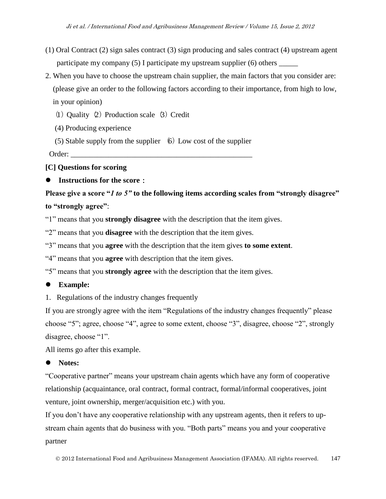- (1) Oral Contract (2) sign sales contract (3) sign producing and sales contract (4) upstream agent participate my company  $(5)$  I participate my upstream supplier  $(6)$  others
- 2. When you have to choose the upstream chain supplier, the main factors that you consider are: (please give an order to the following factors according to their importance, from high to low, in your opinion)
	- (1) Quality  $(2)$  Production scale  $(3)$  Credit
	- (4) Producing experience

(5) Stable supply from the supplier  $\left(6\right)$  Low cost of the supplier

Order:

**[C] Questions for scoring**

**Instructions for the score**:

**Please give a score "***1 to 5"* **to the following items according scales from "strongly disagree" to "strongly agree"**:

"1" means that you **strongly disagree** with the description that the item gives.

"2" means that you **disagree** with the description that the item gives.

"3" means that you **agree** with the description that the item gives **to some extent**.

"4" means that you **agree** with description that the item gives.

"5" means that you **strongly agree** with the description that the item gives.

## **Example:**

1. Regulations of the industry changes frequently

If you are strongly agree with the item "Regulations of the industry changes frequently" please choose "5"; agree, choose "4", agree to some extent, choose "3", disagree, choose "2", strongly disagree, choose "1".

All items go after this example.

## **Notes:**

"Cooperative partner" means your upstream chain agents which have any form of cooperative relationship (acquaintance, oral contract, formal contract, formal/informal cooperatives, joint venture, joint ownership, merger/acquisition etc.) with you.

If you don't have any cooperative relationship with any upstream agents, then it refers to upstream chain agents that do business with you. "Both parts" means you and your cooperative partner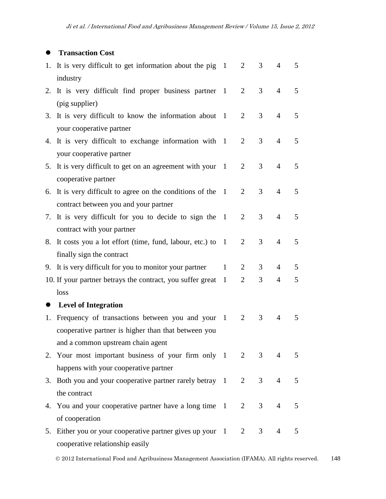## $\bullet$  Transaction Cost

|    | 1. It is very difficult to get information about the pig 1<br>industry                               |   | $\overline{2}$ | 3              | 4              | 5 |
|----|------------------------------------------------------------------------------------------------------|---|----------------|----------------|----------------|---|
|    | 2. It is very difficult find proper business partner 1<br>(pig supplier)                             |   | $\overline{2}$ | 3              | $\overline{4}$ | 5 |
|    | 3. It is very difficult to know the information about 1<br>your cooperative partner                  |   | 2              | 3              | 4              | 5 |
|    | 4. It is very difficult to exchange information with 1<br>your cooperative partner                   |   | 2              | 3              | $\overline{4}$ | 5 |
| 5. | It is very difficult to get on an agreement with your 1<br>cooperative partner                       |   | $\overline{2}$ | 3              | $\overline{4}$ | 5 |
|    | 6. It is very difficult to agree on the conditions of the 1<br>contract between you and your partner |   | 2              | 3              | 4              | 5 |
|    | 7. It is very difficult for you to decide to sign the 1<br>contract with your partner                |   | $\overline{2}$ | 3              | $\overline{4}$ | 5 |
| 8. | It costs you a lot effort (time, fund, labour, etc.) to 1<br>finally sign the contract               |   | 2              | 3              | $\overline{4}$ | 5 |
|    | 9. It is very difficult for you to monitor your partner                                              | 1 | 2              | 3              | 4              | 5 |
|    | 10. If your partner betrays the contract, you suffer great                                           | 1 | $\overline{2}$ | 3              | 4              | 5 |
|    | loss                                                                                                 |   |                |                |                |   |
|    | <b>Level of Integration</b>                                                                          |   |                |                |                |   |
| 1. | Frequency of transactions between you and your 1                                                     |   | 2              | 3              | 4              | 5 |
|    | cooperative partner is higher than that between you                                                  |   |                |                |                |   |
|    | and a common upstream chain agent                                                                    |   |                |                |                |   |
|    | 2. Your most important business of your firm only 1 2                                                |   |                | 3 <sup>7</sup> | $\overline{4}$ | 5 |
|    | happens with your cooperative partner                                                                |   |                |                |                |   |
|    | 3. Both you and your cooperative partner rarely betray 1 2                                           |   |                | 3 <sup>7</sup> | $\overline{4}$ | 5 |
|    | the contract                                                                                         |   |                |                |                |   |
|    | 4. You and your cooperative partner have a long time 1 2                                             |   |                | 3 <sup>7</sup> | $\overline{4}$ | 5 |
|    | of cooperation                                                                                       |   |                |                |                |   |
|    | 5. Either you or your cooperative partner gives up your 1                                            |   | $\overline{2}$ | 3 <sup>7</sup> | 4              | 5 |
|    | cooperative relationship easily                                                                      |   |                |                |                |   |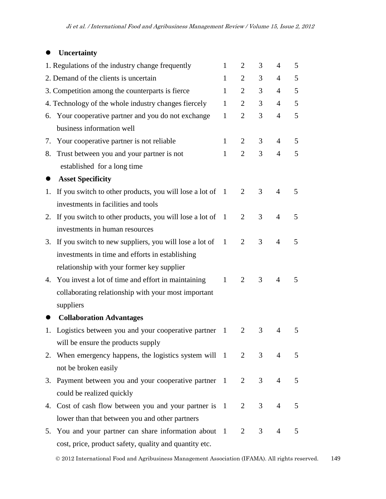## **Uncertainty**

|    | 1. Regulations of the industry change frequently             | 1              | $\overline{2}$ | 3              | 4              | 5           |
|----|--------------------------------------------------------------|----------------|----------------|----------------|----------------|-------------|
|    | 2. Demand of the clients is uncertain                        | $\mathbf{1}$   | $\overline{2}$ | 3              | 4              | 5           |
|    | 3. Competition among the counterparts is fierce              | 1              | $\overline{2}$ | 3              | $\overline{4}$ | 5           |
|    | 4. Technology of the whole industry changes fiercely         | $\mathbf{1}$   | 2              | 3              | 4              | 5           |
| 6. | Your cooperative partner and you do not exchange             | $\mathbf{1}$   | $\overline{2}$ | 3              | $\overline{4}$ | 5           |
|    | business information well                                    |                |                |                |                |             |
| 7. | Your cooperative partner is not reliable                     | 1              | 2              | 3              | 4              | 5           |
| 8. | Trust between you and your partner is not                    | $\mathbf{1}$   | 2              | 3              | $\overline{4}$ | 5           |
|    | established for a long time                                  |                |                |                |                |             |
|    | <b>Asset Specificity</b>                                     |                |                |                |                |             |
| 1. | If you switch to other products, you will lose a lot of $1$  |                | 2              | 3              | 4              | 5           |
|    | investments in facilities and tools                          |                |                |                |                |             |
|    | 2. If you switch to other products, you will lose a lot of 1 |                | 2              | 3              | $\overline{4}$ | 5           |
|    | investments in human resources                               |                |                |                |                |             |
| 3. | If you switch to new suppliers, you will lose a lot of       | $\overline{1}$ | 2              | 3              | $\overline{4}$ | 5           |
|    | investments in time and efforts in establishing              |                |                |                |                |             |
|    | relationship with your former key supplier                   |                |                |                |                |             |
|    | 4. You invest a lot of time and effort in maintaining        | $\mathbf{1}$   | 2              | 3              | $\overline{4}$ | 5           |
|    | collaborating relationship with your most important          |                |                |                |                |             |
|    | suppliers                                                    |                |                |                |                |             |
|    | <b>Collaboration Advantages</b>                              |                |                |                |                |             |
| 1. | Logistics between you and your cooperative partner           | $\mathbf{1}$   | 2              | 3              | 4              | 5           |
|    | will be ensure the products supply                           |                |                |                |                |             |
|    | 2. When emergency happens, the logistics system will 1 2     |                |                | 3 <sup>7</sup> | $\overline{4}$ | $5^{\circ}$ |
|    | not be broken easily                                         |                |                |                |                |             |
|    | 3. Payment between you and your cooperative partner 1        |                | $\overline{2}$ | 3              | $\overline{4}$ | 5           |
|    | could be realized quickly                                    |                |                |                |                |             |
|    | 4. Cost of cash flow between you and your partner is 1       |                | $\overline{2}$ | 3              | $\overline{4}$ | 5           |
|    | lower than that between you and other partners               |                |                |                |                |             |
|    | 5. You and your partner can share information about 1        |                | 2              | 3 <sup>7</sup> | $\overline{4}$ | 5           |
|    | cost, price, product safety, quality and quantity etc.       |                |                |                |                |             |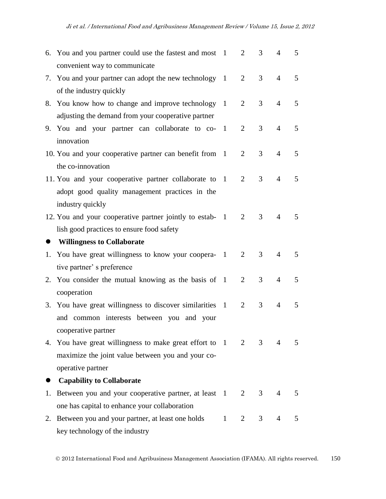|           | 6. You and you partner could use the fastest and most 1<br>convenient way to communicate                                                         |                        | 2              | 3              | $\overline{4}$ | 5 |
|-----------|--------------------------------------------------------------------------------------------------------------------------------------------------|------------------------|----------------|----------------|----------------|---|
|           | 7. You and your partner can adopt the new technology 1<br>of the industry quickly                                                                |                        | $\overline{2}$ | 3              | $\overline{4}$ | 5 |
|           | 8. You know how to change and improve technology 1<br>adjusting the demand from your cooperative partner                                         |                        | 2              | 3              | 4              | 5 |
|           | 9. You and your partner can collaborate to co- 1<br>innovation                                                                                   |                        | 2              | 3              | $\overline{4}$ | 5 |
|           | 10. You and your cooperative partner can benefit from 1                                                                                          |                        | 2              | 3              | $\overline{4}$ | 5 |
|           | the co-innovation<br>11. You and your cooperative partner collaborate to 1<br>adopt good quality management practices in the<br>industry quickly |                        | $\overline{2}$ | 3              | $\overline{4}$ | 5 |
|           | 12. You and your cooperative partner jointly to estab- 1<br>lish good practices to ensure food safety                                            |                        | 2              | 3              | 4              | 5 |
| $\bullet$ | <b>Willingness to Collaborate</b>                                                                                                                |                        |                |                |                |   |
|           | 1. You have great willingness to know your coopera- 1                                                                                            |                        | $\overline{2}$ | 3              | 4              | 5 |
|           | tive partner' s preference                                                                                                                       |                        |                |                |                |   |
|           | 2. You consider the mutual knowing as the basis of 1                                                                                             |                        | 2              | 3              | $\overline{4}$ | 5 |
|           | cooperation                                                                                                                                      |                        |                |                |                |   |
| 3.        | You have great willingness to discover similarities 1<br>and common interests between you and your<br>cooperative partner                        |                        | 2              | 3              | $\overline{4}$ | 5 |
|           | 4. You have great willingness to make great effort to 1 2                                                                                        |                        |                | 3 <sup>7</sup> | $\overline{4}$ | 5 |
|           | maximize the joint value between you and your co-                                                                                                |                        |                |                |                |   |
|           | operative partner                                                                                                                                |                        |                |                |                |   |
|           | <b>Capability to Collaborate</b>                                                                                                                 |                        |                |                |                |   |
| 1.        | Between you and your cooperative partner, at least 1                                                                                             |                        | 2              | 3 <sup>7</sup> | $\overline{4}$ | 5 |
|           | one has capital to enhance your collaboration                                                                                                    |                        |                |                |                |   |
|           | 2. Between you and your partner, at least one holds                                                                                              | $1 \quad \blacksquare$ | 2              | 3 <sup>7</sup> | $\overline{4}$ | 5 |
|           | key technology of the industry                                                                                                                   |                        |                |                |                |   |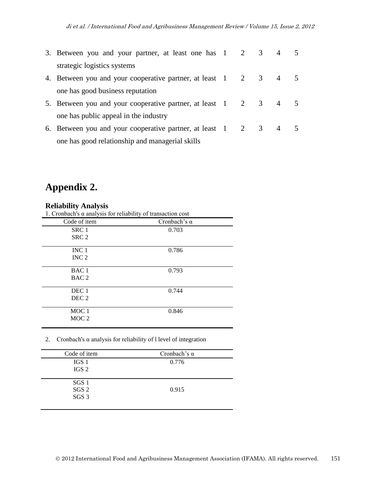|    | 3. Between you and your partner, at least one has 1 2 3         |  | $\overline{4}$ |  |
|----|-----------------------------------------------------------------|--|----------------|--|
|    | strategic logistics systems                                     |  |                |  |
|    | 4. Between you and your cooperative partner, at least 1 2 3 4 5 |  |                |  |
|    | one has good business reputation                                |  |                |  |
| 5. | Between you and your cooperative partner, at least 1 2 3 4 5    |  |                |  |
|    | one has public appeal in the industry                           |  |                |  |
| 6. | Between you and your cooperative partner, at least 1 2 3 4 5    |  |                |  |
|    | one has good relationship and managerial skills                 |  |                |  |

# **Appendix 2.**

### **Reliability Analysis**

1. Cronbach's α analysis for reliability of transaction cost

| 1. Cronouvirs a anarysis for renadinty or mansaction cost |                     |  |
|-----------------------------------------------------------|---------------------|--|
| Code of item                                              | Cronbach's $\alpha$ |  |
| SRC <sub>1</sub>                                          | 0.703               |  |
| SRC <sub>2</sub>                                          |                     |  |
| INC <sub>1</sub>                                          | 0.786               |  |
| INC <sub>2</sub>                                          |                     |  |
| BAC <sub>1</sub>                                          | 0.793               |  |
| BAC <sub>2</sub>                                          |                     |  |
| DEC 1                                                     | 0.744               |  |
| DEC <sub>2</sub>                                          |                     |  |
| MOC <sub>1</sub>                                          | 0.846               |  |
| MOC <sub>2</sub>                                          |                     |  |

2. Cronbach's  $\alpha$  analysis for reliability of l level of integration

| Code of item     | Cronbach's $\alpha$ |
|------------------|---------------------|
| IGS 1            | 0.776               |
| IGS 2            |                     |
|                  |                     |
| SGS 1            |                     |
| SGS <sub>2</sub> | 0.915               |
| SGS <sub>3</sub> |                     |
|                  |                     |